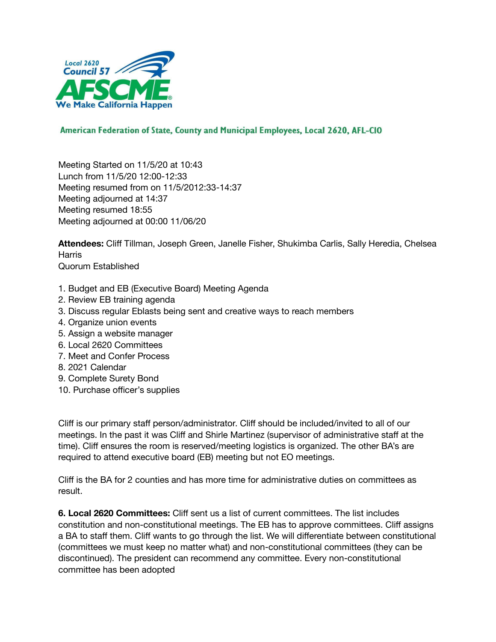

## American Federation of State, County and Municipal Employees, Local 2620, AFL-CIO

Meeting Started on 11/5/20 at 10:43 Lunch from 11/5/20 12:00-12:33 Meeting resumed from on 11/5/2012:33-14:37 Meeting adjourned at 14:37 Meeting resumed 18:55 Meeting adjourned at 00:00 11/06/20

**Attendees:** Cliff Tillman, Joseph Green, Janelle Fisher, Shukimba Carlis, Sally Heredia, Chelsea **Harris** Quorum Established

- 1. Budget and EB (Executive Board) Meeting Agenda
- 2. Review EB training agenda
- 3. Discuss regular Eblasts being sent and creative ways to reach members
- 4. Organize union events
- 5. Assign a website manager
- 6. Local 2620 Committees
- 7. Meet and Confer Process
- 8. 2021 Calendar
- 9. Complete Surety Bond
- 10. Purchase officer's supplies

Cliff is our primary staff person/administrator. Cliff should be included/invited to all of our meetings. In the past it was Cliff and Shirle Martinez (supervisor of administrative staff at the time). Cliff ensures the room is reserved/meeting logistics is organized. The other BA's are required to attend executive board (EB) meeting but not EO meetings.

Cliff is the BA for 2 counties and has more time for administrative duties on committees as result.

**6. Local 2620 Committees:** Cliff sent us a list of current committees. The list includes constitution and non-constitutional meetings. The EB has to approve committees. Cliff assigns a BA to staff them. Cliff wants to go through the list. We will differentiate between constitutional (committees we must keep no matter what) and non-constitutional committees (they can be discontinued). The president can recommend any committee. Every non-constitutional committee has been adopted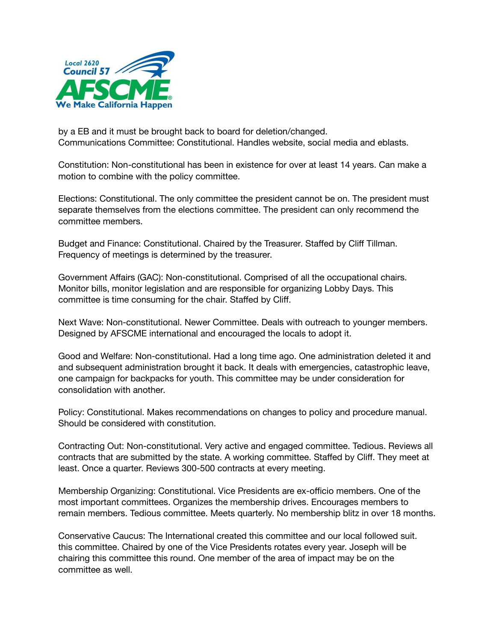

by a EB and it must be brought back to board for deletion/changed. Communications Committee: Constitutional. Handles website, social media and eblasts.

Constitution: Non-constitutional has been in existence for over at least 14 years. Can make a motion to combine with the policy committee.

Elections: Constitutional. The only committee the president cannot be on. The president must separate themselves from the elections committee. The president can only recommend the committee members.

Budget and Finance: Constitutional. Chaired by the Treasurer. Staffed by Cliff Tillman. Frequency of meetings is determined by the treasurer.

Government Affairs (GAC): Non-constitutional. Comprised of all the occupational chairs. Monitor bills, monitor legislation and are responsible for organizing Lobby Days. This committee is time consuming for the chair. Staffed by Cliff.

Next Wave: Non-constitutional. Newer Committee. Deals with outreach to younger members. Designed by AFSCME international and encouraged the locals to adopt it.

Good and Welfare: Non-constitutional. Had a long time ago. One administration deleted it and and subsequent administration brought it back. It deals with emergencies, catastrophic leave, one campaign for backpacks for youth. This committee may be under consideration for consolidation with another.

Policy: Constitutional. Makes recommendations on changes to policy and procedure manual. Should be considered with constitution.

Contracting Out: Non-constitutional. Very active and engaged committee. Tedious. Reviews all contracts that are submitted by the state. A working committee. Staffed by Cliff. They meet at least. Once a quarter. Reviews 300-500 contracts at every meeting.

Membership Organizing: Constitutional. Vice Presidents are ex-officio members. One of the most important committees. Organizes the membership drives. Encourages members to remain members. Tedious committee. Meets quarterly. No membership blitz in over 18 months.

Conservative Caucus: The International created this committee and our local followed suit. this committee. Chaired by one of the Vice Presidents rotates every year. Joseph will be chairing this committee this round. One member of the area of impact may be on the committee as well.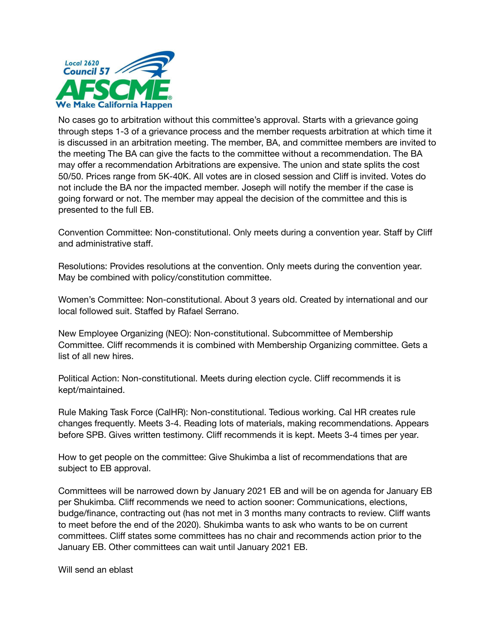

No cases go to arbitration without this committee's approval. Starts with a grievance going through steps 1-3 of a grievance process and the member requests arbitration at which time it is discussed in an arbitration meeting. The member, BA, and committee members are invited to the meeting The BA can give the facts to the committee without a recommendation. The BA may offer a recommendation Arbitrations are expensive. The union and state splits the cost 50/50. Prices range from 5K-40K. All votes are in closed session and Cliff is invited. Votes do not include the BA nor the impacted member. Joseph will notify the member if the case is going forward or not. The member may appeal the decision of the committee and this is presented to the full EB.

Convention Committee: Non-constitutional. Only meets during a convention year. Staff by Cliff and administrative staff.

Resolutions: Provides resolutions at the convention. Only meets during the convention year. May be combined with policy/constitution committee.

Women's Committee: Non-constitutional. About 3 years old. Created by international and our local followed suit. Staffed by Rafael Serrano.

New Employee Organizing (NEO): Non-constitutional. Subcommittee of Membership Committee. Cliff recommends it is combined with Membership Organizing committee. Gets a list of all new hires.

Political Action: Non-constitutional. Meets during election cycle. Cliff recommends it is kept/maintained.

Rule Making Task Force (CalHR): Non-constitutional. Tedious working. Cal HR creates rule changes frequently. Meets 3-4. Reading lots of materials, making recommendations. Appears before SPB. Gives written testimony. Cliff recommends it is kept. Meets 3-4 times per year.

How to get people on the committee: Give Shukimba a list of recommendations that are subject to EB approval.

Committees will be narrowed down by January 2021 EB and will be on agenda for January EB per Shukimba. Cliff recommends we need to action sooner: Communications, elections, budge/finance, contracting out (has not met in 3 months many contracts to review. Cliff wants to meet before the end of the 2020). Shukimba wants to ask who wants to be on current committees. Cliff states some committees has no chair and recommends action prior to the January EB. Other committees can wait until January 2021 EB.

Will send an eblast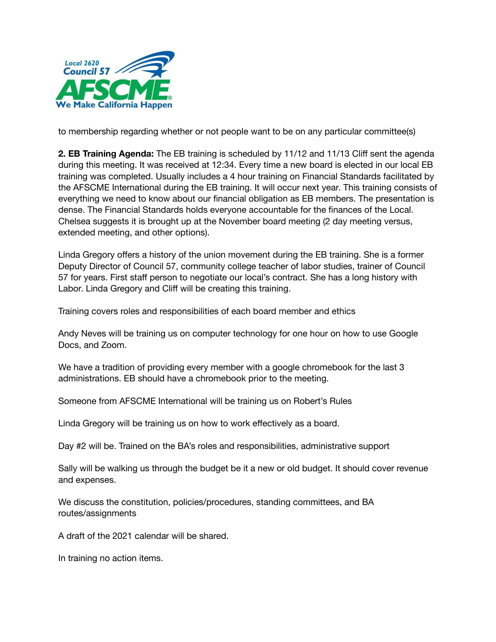

to membership regarding whether or not people want to be on any particular committee(s)

**2. EB Training Agenda:** The EB training is scheduled by 11/12 and 11/13 Cliff sent the agenda during this meeting. It was received at 12:34. Every time a new board is elected in our local EB training was completed. Usually includes a 4 hour training on Financial Standards facilitated by the AFSCME International during the EB training. It will occur next year. This training consists of everything we need to know about our financial obligation as EB members. The presentation is dense. The Financial Standards holds everyone accountable for the finances of the Local. Chelsea suggests it is brought up at the November board meeting (2 day meeting versus, extended meeting, and other options).

Linda Gregory offers a history of the union movement during the EB training. She is a former Deputy Director of Council 57, community college teacher of labor studies, trainer of Council 57 for years. First staff person to negotiate our local's contract. She has a long history with Labor. Linda Gregory and Cliff will be creating this training.

Training covers roles and responsibilities of each board member and ethics

Andy Neves will be training us on computer technology for one hour on how to use Google Docs, and Zoom.

We have a tradition of providing every member with a google chromebook for the last 3 administrations. EB should have a chromebook prior to the meeting.

Someone from AFSCME International will be training us on Robert's Rules

Linda Gregory will be training us on how to work effectively as a board.

Day #2 will be. Trained on the BA's roles and responsibilities, administrative support

Sally will be walking us through the budget be it a new or old budget. It should cover revenue and expenses.

We discuss the constitution, policies/procedures, standing committees, and BA routes/assignments

A draft of the 2021 calendar will be shared.

In training no action items.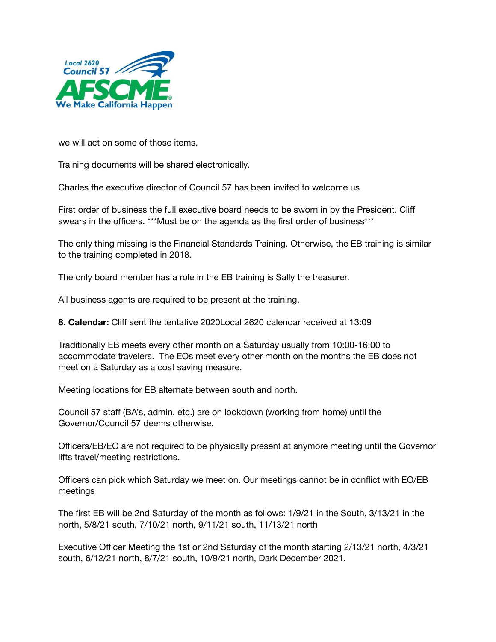

we will act on some of those items.

Training documents will be shared electronically.

Charles the executive director of Council 57 has been invited to welcome us

First order of business the full executive board needs to be sworn in by the President. Cliff swears in the officers. \*\*\*Must be on the agenda as the first order of business\*\*\*

The only thing missing is the Financial Standards Training. Otherwise, the EB training is similar to the training completed in 2018.

The only board member has a role in the EB training is Sally the treasurer.

All business agents are required to be present at the training.

**8. Calendar:** Cliff sent the tentative 2020Local 2620 calendar received at 13:09

Traditionally EB meets every other month on a Saturday usually from 10:00-16:00 to accommodate travelers. The EOs meet every other month on the months the EB does not meet on a Saturday as a cost saving measure.

Meeting locations for EB alternate between south and north.

Council 57 staff (BA's, admin, etc.) are on lockdown (working from home) until the Governor/Council 57 deems otherwise.

Officers/EB/EO are not required to be physically present at anymore meeting until the Governor lifts travel/meeting restrictions.

Officers can pick which Saturday we meet on. Our meetings cannot be in conflict with EO/EB meetings

The first EB will be 2nd Saturday of the month as follows: 1/9/21 in the South, 3/13/21 in the north, 5/8/21 south, 7/10/21 north, 9/11/21 south, 11/13/21 north

Executive Officer Meeting the 1st or 2nd Saturday of the month starting 2/13/21 north, 4/3/21 south, 6/12/21 north, 8/7/21 south, 10/9/21 north, Dark December 2021.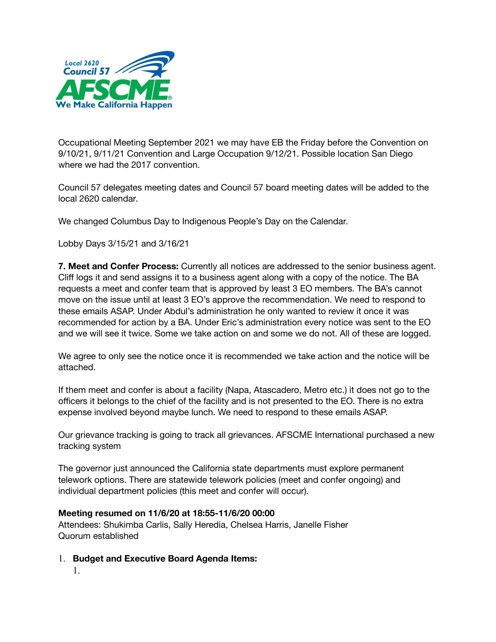

Occupational Meeting September 2021 we may have EB the Friday before the Convention on 9/10/21, 9/11/21 Convention and Large Occupation 9/12/21. Possible location San Diego where we had the 2017 convention.

Council 57 delegates meeting dates and Council 57 board meeting dates will be added to the local 2620 calendar.

We changed Columbus Day to Indigenous People's Day on the Calendar.

Lobby Days 3/15/21 and 3/16/21

**7. Meet and Confer Process:** Currently all notices are addressed to the senior business agent. Cliff logs it and send assigns it to a business agent along with a copy of the notice. The BA requests a meet and confer team that is approved by least 3 EO members. The BA's cannot move on the issue until at least 3 EO's approve the recommendation. We need to respond to these emails ASAP. Under Abdul's administration he only wanted to review it once it was recommended for action by a BA. Under Eric's administration every notice was sent to the EO and we will see it twice. Some we take action on and some we do not. All of these are logged.

We agree to only see the notice once it is recommended we take action and the notice will be attached.

If them meet and confer is about a facility (Napa, Atascadero, Metro etc.) it does not go to the officers it belongs to the chief of the facility and is not presented to the EO. There is no extra expense involved beyond maybe lunch. We need to respond to these emails ASAP.

Our grievance tracking is going to track all grievances. AFSCME International purchased a new tracking system

The governor just announced the California state departments must explore permanent telework options. There are statewide telework policies (meet and confer ongoing) and individual department policies (this meet and confer will occur).

## **Meeting resumed on 11/6/20 at 18:55-11/6/20 00:00**

Attendees: Shukimba Carlis, Sally Heredia, Chelsea Harris, Janelle Fisher Quorum established

- 1. **Budget and Executive Board Agenda Items:**
	- 1.